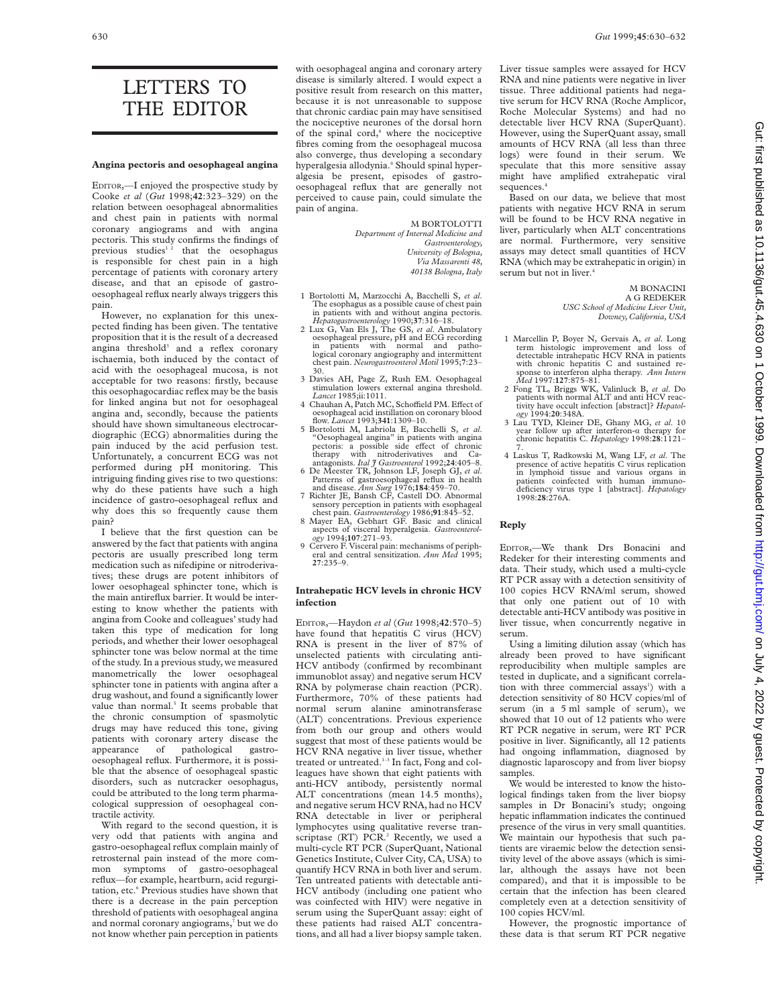# LETTERS TO THE EDITOR

#### **Angina pectoris and oesophageal angina**

EDITOR,—I enjoyed the prospective study by Cooke *et al* (*Gut* 1998;**42**:323–329) on the relation between oesophageal abnormalities and chest pain in patients with normal coronary angiograms and with angina pectoris. This study confirms the findings of previous studies<sup>12</sup> that the oesophagus is responsible for chest pain in a high percentage of patients with coronary artery disease, and that an episode of gastrooesophageal reflux nearly always triggers this pain.

However, no explanation for this unexpected finding has been given. The tentative proposition that it is the result of a decreased angina threshold<sup>3</sup> and a reflex coronary ischaemia, both induced by the contact of acid with the oesophageal mucosa, is not acceptable for two reasons: firstly, because this oesophagocardiac reflex may be the basis for linked angina but not for oesophageal angina and, secondly, because the patients should have shown simultaneous electrocardiographic (ECG) abnormalities during the pain induced by the acid perfusion test. Unfortunately, a concurrent ECG was not performed during pH monitoring. This intriguing finding gives rise to two questions: why do these patients have such a high incidence of gastro-oesophageal reflux and why does this so frequently cause them pain?

I believe that the first question can be answered by the fact that patients with angina pectoris are usually prescribed long term medication such as nifedipine or nitroderivatives; these drugs are potent inhibitors of lower oesophageal sphincter tone, which is the main antireflux barrier. It would be interesting to know whether the patients with angina from Cooke and colleagues' study had taken this type of medication for long periods, and whether their lower oesophageal sphincter tone was below normal at the time of the study. In a previous study, we measured manometrically the lower oesophageal sphincter tone in patients with angina after a drug washout, and found a significantly lower value than normal.<sup>5</sup> It seems probable that the chronic consumption of spasmolytic drugs may have reduced this tone, giving patients with coronary artery disease the<br>appearance of pathological gastroappearance of pathological oesophageal reflux. Furthermore, it is possible that the absence of oesophageal spastic disorders, such as nutcracker oesophagus, could be attributed to the long term pharmacological suppression of oesophageal contractile activity.

With regard to the second question, it is very odd that patients with angina and gastro-oesophageal reflux complain mainly of retrosternal pain instead of the more common symptoms of gastro-oesophageal reflux—for example, heartburn, acid regurgitation, etc.<sup>6</sup> Previous studies have shown that there is a decrease in the pain perception threshold of patients with oesophageal angina and normal coronary angiograms,<sup>7</sup> but we do not know whether pain perception in patients

with oesophageal angina and coronary artery disease is similarly altered. I would expect a positive result from research on this matter, because it is not unreasonable to suppose that chronic cardiac pain may have sensitised the nociceptive neurones of the dorsal horn of the spinal cord,<sup>8</sup> where the nociceptive fibres coming from the oesophageal mucosa also converge, thus developing a secondary hyperalgesia allodynia.<sup>9</sup> Should spinal hyperalgesia be present, episodes of gastrooesophageal reflux that are generally not perceived to cause pain, could simulate the pain of angina.

M BORTOLOTTI

*Department of Internal Medicine and Gastroenterology, University of Bologna, Via Massarenti 48, 40138 Bologna, Italy*

- 1 Bortolotti M, Marzocchi A, Bacchelli S, *et al*. The esophagus as a possible cause of chest pain in patients with and without angina pectoris.
- *Hepatogastroenterology* 1990;**37**:316–18.<br>
2 Lux G, Van Els J, The GS, *et al.* Ambulatory<br>
oesophageal pressure, pH and ECG recording<br>
in patients with normal and pathological coronary angiography and intermittent chest pain. *Neurogastroenterol Motil* 1995;**7**:23–
- 30. 3 Davies AH, Page Z, Rush EM. Oesophageal stimulation lowers external angina threshold. *Lancet* 1985;ii:1011.
- 4 Chauhan A, Patch MC, Schoffield PM. Effect of oesophageal acid instillation on coronary blood<br>flow. *Lancet* 1993;341:1309-10.
- flow. *Lancet* 1993;**341**:1309–10. 5 Bortolotti M, Labriola E, Bacchelli S, *et al*. "Oesophageal angina" in patients with angina<br>pectoris: a possible side effect of chronic therapy with nitroderivatives and Ca-antagonists. *Ital J Gastroenterol* 1992;**24**:405–8.
- Patterns of gastroesophageal reflux in health and disease. *Ann Surg* 1976;**184**:459–70. 7 Richter JE, Bansh CF, Castell DO. Abnormal
- sensory perception in patients with esophageal chest pain. *Gastroenterology* 1986;**91**:845–52. 8 Mayer EA, Gebhart GF. Basic and clinical
- aspects of visceral hyperalgesia. *Gastroenterology* 1994;**107**:271–93.
- 9 Cervero F. Visceral pain: mechanisms of periph-eral and central sensitization*. Ann Med* 1995; **27**:235–9.

## **Intrahepatic HCV levels in chronic HCV infection**

EDITOR,—Haydon *et al* (*Gut* 1998;**42**:570–5) have found that hepatitis C virus (HCV) RNA is present in the liver of 87% of unselected patients with circulating anti-HCV antibody (confirmed by recombinant immunoblot assay) and negative serum HCV RNA by polymerase chain reaction (PCR). Furthermore, 70% of these patients had normal serum alanine aminotransferase (ALT) concentrations. Previous experience from both our group and others would suggest that most of these patients would be HCV RNA negative in liver tissue, whether treated or untreated.<sup>1-3</sup> In fact, Fong and colleagues have shown that eight patients with anti-HCV antibody, persistently normal ALT concentrations (mean 14.5 months), and negative serum HCV RNA, had no HCV RNA detectable in liver or peripheral lymphocytes using qualitative reverse transcriptase (RT) PCR.<sup>2</sup> Recently, we used a multi-cycle RT PCR (SuperQuant, National Genetics Institute, Culver City, CA, USA) to quantify HCV RNA in both liver and serum. Ten untreated patients with detectable anti-HCV antibody (including one patient who was coinfected with HIV) were negative in serum using the SuperQuant assay: eight of these patients had raised ALT concentrations, and all had a liver biopsy sample taken.

Liver tissue samples were assayed for HCV RNA and nine patients were negative in liver tissue. Three additional patients had negative serum for HCV RNA (Roche Amplicor, Roche Molecular Systems) and had no detectable liver HCV RNA (SuperQuant). However, using the SuperQuant assay, small amounts of HCV RNA (all less than three logs) were found in their serum. We speculate that this more sensitive assay might have amplified extrahepatic viral sequences.<sup>4</sup>

Based on our data, we believe that most patients with negative HCV RNA in serum will be found to be HCV RNA negative in liver, particularly when ALT concentrations are normal. Furthermore, very sensitive assays may detect small quantities of HCV RNA (which may be extrahepatic in origin) in serum but not in liver.<sup>4</sup>

> M BONACINI A G REDEKER

*USC School of Medicine Liver Unit, Downey, California, USA*

- 1 Marcellin P, Boyer N, Gervais A, *et al*. Long term histologic improvement and loss of detectable intrahepatic HCV RNA in patients with chronic hepatitis C and sustained response to interferon alpha therapy. *Ann Intern*
- *Med* 1997:**127**:875–81.<br>
2 Fong TL, Briggs WK, Valinluck B, *et al.* Do<br>
patients with normal ALT and anti HCV reac-<br>
tivity have occult infection [abstract]? *Hepatol-*
- *ogy* 1994:**20**:348A. 3 Lau TYD, Kleiner DE, Ghany MG, *et al*. 10 year follow up after interferon-á therapy for chronic hepatitis C. *Hepatology* 1998:**28**:1121–
- 7. 4 Laskus T, Radkowski M, Wang LF, *et al*. The presence of active hepatitis C virus replication in lymphoid tissue and various organs in patients coinfected with human immuno-deficiency virus type 1 [abstract]. *Hepatology* 1998:**28**:276A.

### **Reply**

EDITOR,—We thank Drs Bonacini and Redeker for their interesting comments and data. Their study, which used a multi-cycle RT PCR assay with a detection sensitivity of 100 copies HCV RNA/ml serum, showed that only one patient out of 10 with detectable anti-HCV antibody was positive in liver tissue, when concurrently negative in serum.

Using a limiting dilution assay (which has already been proved to have significant reproducibility when multiple samples are tested in duplicate, and a significant correlation with three commercial assays<sup>1</sup>) with a detection sensitivity of 80 HCV copies/ml of serum (in a 5 ml sample of serum), we showed that 10 out of 12 patients who were RT PCR negative in serum, were RT PCR positive in liver. Significantly, all 12 patients had ongoing inflammation, diagnosed by diagnostic laparoscopy and from liver biopsy samples.

We would be interested to know the histological findings taken from the liver biopsy samples in Dr Bonacini's study; ongoing hepatic inflammation indicates the continued presence of the virus in very small quantities. We maintain our hypothesis that such patients are viraemic below the detection sensitivity level of the above assays (which is similar, although the assays have not been compared), and that it is impossible to be certain that the infection has been cleared completely even at a detection sensitivity of 100 copies HCV/ml.

However, the prognostic importance of these data is that serum RT PCR negative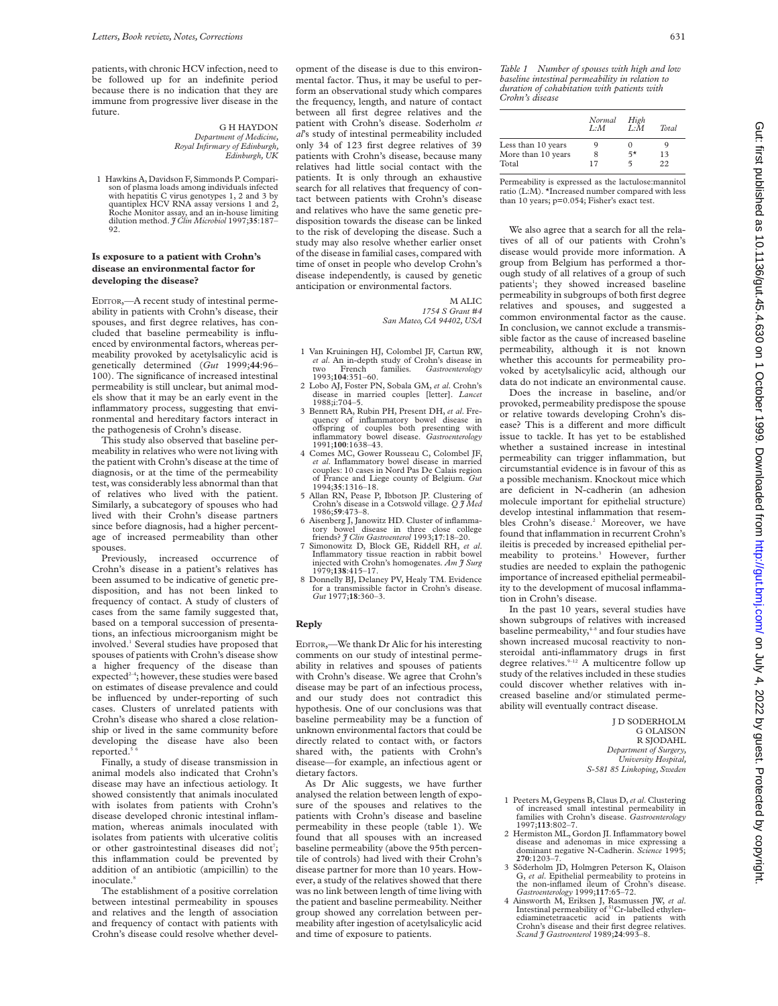patients, with chronic HCV infection, need to be followed up for an indefinite period because there is no indication that they are immune from progressive liver disease in the future.

> G H HAYDON *Department of Medicine, Royal Infirmary of Edinburgh, Edinburgh, UK*

1 Hawkins A, Davidson F, Simmonds P. Comparison of plasma loads among individuals infected with hepatitis C virus genotypes 1, 2 and 3 by quantiplex HCV RNA assay versions 1 and 2, quantiplex HCV RNA assay versions 1 and 2, Roche Monitor assay, and an in-house limiting dilution method. *J Clin Microbiol* 1997;**35**:187– 92.

## **Is exposure to a patient with Crohn's disease an environmental factor for developing the disease?**

EDITOR,—A recent study of intestinal permeability in patients with Crohn's disease, their spouses, and first degree relatives, has concluded that baseline permeability is influenced by environmental factors, whereas permeability provoked by acetylsalicylic acid is genetically determined (*Gut* 1999;**44**:96– 100). The significance of increased intestinal permeability is still unclear, but animal models show that it may be an early event in the inflammatory process, suggesting that environmental and hereditary factors interact in the pathogenesis of Crohn's disease.

This study also observed that baseline permeability in relatives who were not living with the patient with Crohn's disease at the time of diagnosis, or at the time of the permeability test, was considerably less abnormal than that of relatives who lived with the patient. Similarly, a subcategory of spouses who had lived with their Crohn's disease partners since before diagnosis, had a higher percentage of increased permeability than other spouses.

Previously, increased occurrence of Crohn's disease in a patient's relatives has been assumed to be indicative of genetic predisposition, and has not been linked to frequency of contact. A study of clusters of cases from the same family suggested that, based on a temporal succession of presentations, an infectious microorganism might be involved.<sup>1</sup> Several studies have proposed that spouses of patients with Crohn's disease show a higher frequency of the disease than expected $2-4$ ; however, these studies were based on estimates of disease prevalence and could be influenced by under-reporting of such cases. Clusters of unrelated patients with Crohn's disease who shared a close relationship or lived in the same community before developing the disease have also been reported.<sup>5</sup>

Finally, a study of disease transmission in animal models also indicated that Crohn's disease may have an infectious aetiology. It showed consistently that animals inoculated with isolates from patients with Crohn's disease developed chronic intestinal inflammation, whereas animals inoculated with isolates from patients with ulcerative colitis or other gastrointestinal diseases did not<sup>7</sup>; this inflammation could be prevented by addition of an antibiotic (ampicillin) to the inoculate.

The establishment of a positive correlation between intestinal permeability in spouses and relatives and the length of association and frequency of contact with patients with Crohn's disease could resolve whether development of the disease is due to this environmental factor. Thus, it may be useful to perform an observational study which compares the frequency, length, and nature of contact between all first degree relatives and the patient with Crohn's disease. Soderholm *et al*'s study of intestinal permeability included only 34 of 123 first degree relatives of 39 patients with Crohn's disease, because many relatives had little social contact with the patients. It is only through an exhaustive search for all relatives that frequency of contact between patients with Crohn's disease and relatives who have the same genetic predisposition towards the disease can be linked to the risk of developing the disease. Such a study may also resolve whether earlier onset of the disease in familial cases, compared with time of onset in people who develop Crohn's disease independently, is caused by genetic anticipation or environmental factors.

> M ALIC *1754 S Grant #4 San Mateo, CA 94402, USA*

- 1 Van Kruiningen HJ, Colombel JF, Cartun RW, *et al*. An in-depth study of Crohn's disease in two French families. *Gastroenterology* 1993;**104**:351–60.
- 2 Lobo AJ, Foster PN, Sobala GM, *et al*. Crohn's disease in married couples [letter]. *Lancet* 1988;i:704–5.
- 3 Bennett RA, Rubin PH, Present DH, *et al*. Frequency of inflammatory bowel disease in offspring of couples both presenting with<br>inflammatory bowel disease. *Gastroenterology* 1991;**100**:1638–43.
- 4 Comes MC, Gower Rousseau C, Colombel JF, *et al*. Inflammatory bowel disease in married couples: 10 cases in Nord Pas De Calais region of France and Liege county of Belgium. *Gut* 1994;**35**:1316–18.
- 5 Allan RN, Pease P, Ibbotson JP. Clustering Crohn's disease in a Cotswold village. *Q J Med* 1986;**59**:473–8.
- 6 Aisenberg J, Janowitz HD. Cluster of inflamma-tory bowel disease in three close college friends? *J Clin Gastroenterol* 1993;**17**:18–20.
- 7 Simonowitz D, Block GE, Riddell RH, *et al*. Inflammatory tissue reaction in rabbit bowel injected with Crohn's homogenates. *Am J Surg* 1979;**138**:415–17.
- 8 Donnelly BJ, Delaney PV, Healy TM. Evidence for a transmissible factor in Crohn's disease. *Gut* 1977;**18**:360–3.

#### **Reply**

EDITOR,—We thank Dr Alic for his interesting comments on our study of intestinal permeability in relatives and spouses of patients with Crohn's disease. We agree that Crohn's disease may be part of an infectious process, and our study does not contradict this hypothesis. One of our conclusions was that baseline permeability may be a function of unknown environmental factors that could be directly related to contact with, or factors shared with, the patients with Crohn's disease—for example, an infectious agent or dietary factors.

As Dr Alic suggests, we have further analysed the relation between length of exposure of the spouses and relatives to the patients with Crohn's disease and baseline permeability in these people (table 1). We found that all spouses with an increased baseline permeability (above the 95th percentile of controls) had lived with their Crohn's disease partner for more than 10 years. However, a study of the relatives showed that there was no link between length of time living with the patient and baseline permeability. Neither group showed any correlation between permeability after ingestion of acetylsalicylic acid and time of exposure to patients.

*Table 1 Number of spouses with high and low baseline intestinal permeability in relation to duration of cohabitation with patients with Crohn's disease*

|                    | Normal<br>L:M | High<br>L:M | <b>Total</b> |
|--------------------|---------------|-------------|--------------|
| Less than 10 years |               |             |              |
| More than 10 years | 8             | $5*$        | 13           |
| Total              | 17            | 5           | 22.          |

Permeability is expressed as the lactulose:mannitol ratio (L:M). \*Increased number compared with less than 10 years; p=0.054; Fisher's exact test.

We also agree that a search for all the relatives of all of our patients with Crohn's disease would provide more information. A group from Belgium has performed a thorough study of all relatives of a group of such patients<sup>1</sup>; they showed increased baseline permeability in subgroups of both first degree relatives and spouses, and suggested a common environmental factor as the cause. In conclusion, we cannot exclude a transmissible factor as the cause of increased baseline permeability, although it is not known whether this accounts for permeability provoked by acetylsalicylic acid, although our data do not indicate an environmental cause.

Does the increase in baseline, and/or provoked, permeability predispose the spouse or relative towards developing Crohn's disease? This is a different and more difficult issue to tackle. It has yet to be established whether a sustained increase in intestinal permeability can trigger inflammation, but circumstantial evidence is in favour of this as a possible mechanism. Knockout mice which are deficient in N-cadherin (an adhesion molecule important for epithelial structure) develop intestinal inflammation that resembles Crohn's disease.<sup>2</sup> Moreover, we have found that inflammation in recurrent Crohn's ileitis is preceded by increased epithelial permeability to proteins.<sup>3</sup> However, further studies are needed to explain the pathogenic importance of increased epithelial permeability to the development of mucosal inflammation in Crohn's disease.

In the past 10 years, several studies have shown subgroups of relatives with increased baseline permeability, $4-8$  and four studies have shown increased mucosal reactivity to nonsteroidal anti-inflammatory drugs in first degree relatives.<sup>9-12</sup> A multicentre follow up study of the relatives included in these studies could discover whether relatives with increased baseline and/or stimulated permeability will eventually contract disease.

> J D SODERHOLM G OLAISON R SJODAHL *Department of Surgery, University Hospital, S-581 85 Linkoping, Sweden*

- 1 Peeters M, Geypens B, Claus D,*et al*. Clustering of increased small intestinal permeability in families with Crohn's disease. *Gastroenterology* 1997;**113**:802–7.
- 2 Hermiston ML, Gordon JI. Inflammatory bowel disease and adenomas in mice expressing a dominant negative N-Cadherin. *Science* 1995;
- 
- 270:1203-7.<br>
Söderholm JD, Holmgren Peterson K, Olaison G, *et al.* Epithelial permeability to proteins in the non-inflamed ileum of Crohn's disease.<br> *Gastroentrology* 1999;117:65-72.<br>
4 Ainsworth M, Eriksen J, Rasmussen *Scand J Gastroenterol* 1989;**24**:993–8.